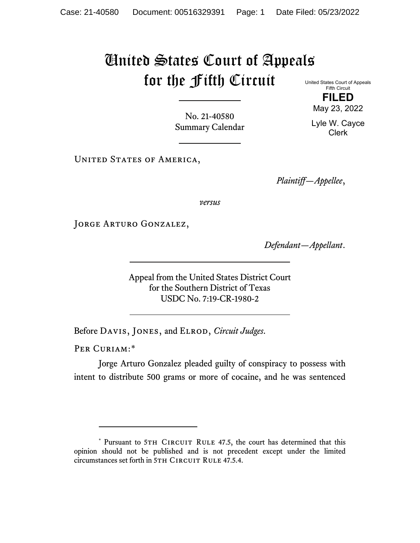# United States Court of Appeals for the Fifth Circuit United States Court of Appeals

Fifth Circuit **FILED**

No. 21-40580 Summary Calendar

UNITED STATES OF AMERICA,

*Plaintiff—Appellee*,

*versus*

Jorge Arturo Gonzalez,

*Defendant—Appellant*.

Appeal from the United States District Court for the Southern District of Texas USDC No. 7:19-CR-1980-2

Before Davis, Jones, and Elrod, *Circuit Judges*.

PER CURIAM:[\\*](#page-0-0)

Jorge Arturo Gonzalez pleaded guilty of conspiracy to possess with intent to distribute 500 grams or more of cocaine, and he was sentenced

May 23, 2022

Lyle W. Cayce Clerk

<span id="page-0-0"></span><sup>\*</sup> Pursuant to 5TH CIRCUIT RULE 47.5, the court has determined that this opinion should not be published and is not precedent except under the limited circumstances set forth in 5TH CIRCUIT RULE 47.5.4.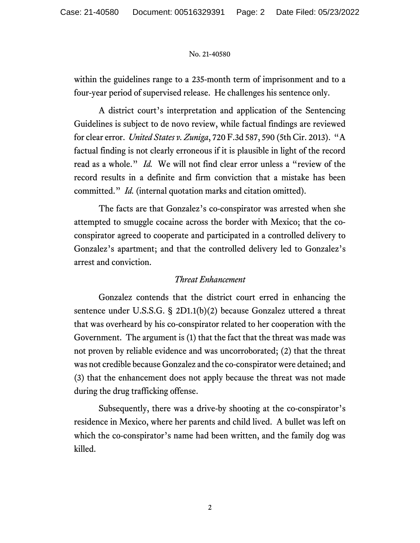within the guidelines range to a 235-month term of imprisonment and to a four-year period of supervised release. He challenges his sentence only.

A district court's interpretation and application of the Sentencing Guidelines is subject to de novo review, while factual findings are reviewed for clear error. *United States v. Zuniga*, 720 F.3d 587, 590 (5th Cir. 2013). "A factual finding is not clearly erroneous if it is plausible in light of the record read as a whole." *Id.* We will not find clear error unless a "review of the record results in a definite and firm conviction that a mistake has been committed." *Id.* (internal quotation marks and citation omitted).

The facts are that Gonzalez's co-conspirator was arrested when she attempted to smuggle cocaine across the border with Mexico; that the coconspirator agreed to cooperate and participated in a controlled delivery to Gonzalez's apartment; and that the controlled delivery led to Gonzalez's arrest and conviction.

#### *Threat Enhancement*

Gonzalez contends that the district court erred in enhancing the sentence under U.S.S.G. § 2D1.1(b)(2) because Gonzalez uttered a threat that was overheard by his co-conspirator related to her cooperation with the Government. The argument is (1) that the fact that the threat was made was not proven by reliable evidence and was uncorroborated; (2) that the threat was not credible because Gonzalez and the co-conspirator were detained; and (3) that the enhancement does not apply because the threat was not made during the drug trafficking offense.

Subsequently, there was a drive-by shooting at the co-conspirator's residence in Mexico, where her parents and child lived. A bullet was left on which the co-conspirator's name had been written, and the family dog was killed.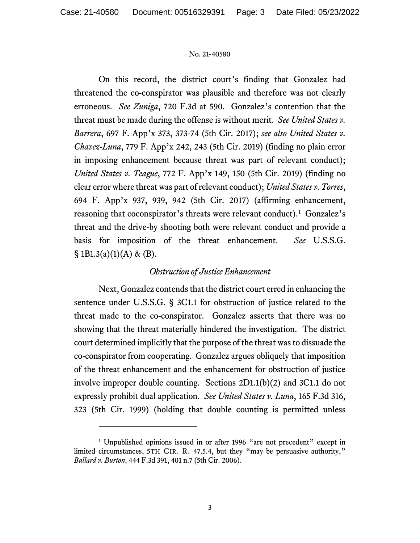On this record, the district court's finding that Gonzalez had threatened the co-conspirator was plausible and therefore was not clearly erroneous. *See Zuniga*, 720 F.3d at 590. Gonzalez's contention that the threat must be made during the offense is without merit. *See United States v. Barrera*, 697 F. App'x 373, 373-74 (5th Cir. 2017); *see also United States v. Chavez-Luna*, 779 F. App'x 242, 243 (5th Cir. 2019) (finding no plain error in imposing enhancement because threat was part of relevant conduct); *United States v. Teague*, 772 F. App'x 149, 150 (5th Cir. 2019) (finding no clear error where threat was part of relevant conduct); *United States v. Torres*, 694 F. App'x 937, 939, 942 (5th Cir. 2017) (affirming enhancement, reasoning that coconspirator's threats were relevant conduct).<sup>[1](#page-2-0)</sup> Gonzalez's threat and the drive-by shooting both were relevant conduct and provide a basis for imposition of the threat enhancement. *See* U.S.S.G.  $§ 1B1.3(a)(1)(A) \& (B).$ 

### *Obstruction of Justice Enhancement*

Next, Gonzalez contends that the district court erred in enhancing the sentence under U.S.S.G. § 3C1.1 for obstruction of justice related to the threat made to the co-conspirator. Gonzalez asserts that there was no showing that the threat materially hindered the investigation. The district court determined implicitly that the purpose of the threat was to dissuade the co-conspirator from cooperating. Gonzalez argues obliquely that imposition of the threat enhancement and the enhancement for obstruction of justice involve improper double counting. Sections 2D1.1(b)(2) and 3C1.1 do not expressly prohibit dual application. *See United States v. Luna*, 165 F.3d 316, 323 (5th Cir. 1999) (holding that double counting is permitted unless

<span id="page-2-0"></span><sup>&</sup>lt;sup>1</sup> Unpublished opinions issued in or after 1996 "are not precedent" except in limited circumstances, 5TH CIR. R. 47.5.4, but they "may be persuasive authority," *Ballard v. Burton*, 444 F.3d 391, 401 n.7 (5th Cir. 2006).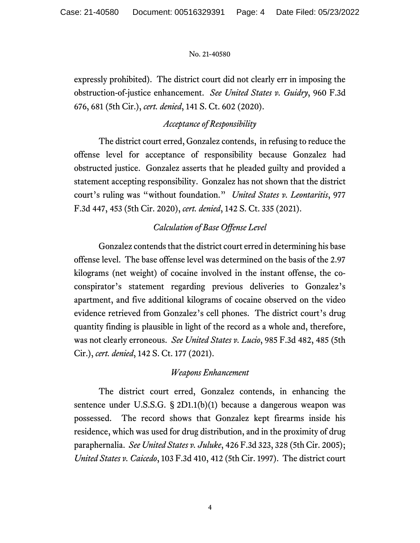expressly prohibited). The district court did not clearly err in imposing the obstruction-of-justice enhancement. *See United States v. Guidry*, 960 F.3d 676, 681 (5th Cir.), *cert. denied*, 141 S. Ct. 602 (2020).

## *Acceptance of Responsibility*

The district court erred, Gonzalez contends, in refusing to reduce the offense level for acceptance of responsibility because Gonzalez had obstructed justice. Gonzalez asserts that he pleaded guilty and provided a statement accepting responsibility. Gonzalez has not shown that the district court's ruling was "without foundation." *United States v. Leontaritis*, 977 F.3d 447, 453 (5th Cir. 2020), *cert. denied*, 142 S. Ct. 335 (2021).

# *Calculation of Base Offense Level*

Gonzalez contends that the district court erred in determining his base offense level. The base offense level was determined on the basis of the 2.97 kilograms (net weight) of cocaine involved in the instant offense, the coconspirator's statement regarding previous deliveries to Gonzalez's apartment, and five additional kilograms of cocaine observed on the video evidence retrieved from Gonzalez's cell phones. The district court's drug quantity finding is plausible in light of the record as a whole and, therefore, was not clearly erroneous. *See United States v. Lucio*, 985 F.3d 482, 485 (5th Cir.), *cert. denied*, 142 S. Ct. 177 (2021).

### *Weapons Enhancement*

The district court erred, Gonzalez contends, in enhancing the sentence under U.S.S.G. § 2D1.1(b)(1) because a dangerous weapon was possessed. The record shows that Gonzalez kept firearms inside his residence, which was used for drug distribution, and in the proximity of drug paraphernalia. *See United States v. Juluke*, 426 F.3d 323, 328 (5th Cir. 2005); *United States v. Caicedo*, 103 F.3d 410, 412 (5th Cir. 1997). The district court